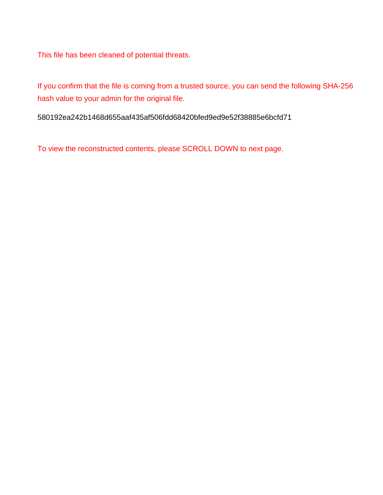This file has been cleaned of potential threats.

If you confirm that the file is coming from a trusted source, you can send the following SHA-256 hash value to your admin for the original file.

580192ea242b1468d655aaf435af506fdd68420bfed9ed9e52f38885e6bcfd71

To view the reconstructed contents, please SCROLL DOWN to next page.